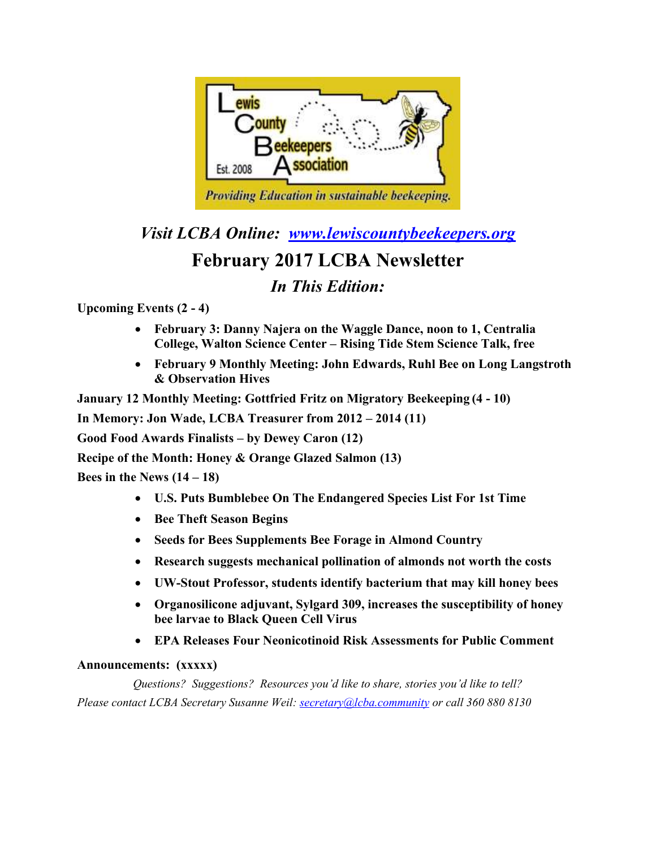

*Visit LCBA Online: [www.lewiscountybeekeepers.org](http://www.lewiscountybeekeepers.org/)*

# **February 2017 LCBA Newsletter**

## *In This Edition:*

**Upcoming Events (2 - 4)**

- **February 3: Danny Najera on the Waggle Dance, noon to 1, Centralia College, Walton Science Center – Rising Tide Stem Science Talk, free**
- **February 9 Monthly Meeting: John Edwards, Ruhl Bee on Long Langstroth & Observation Hives**

**January 12 Monthly Meeting: Gottfried Fritz on Migratory Beekeeping (4 - 10)** 

**In Memory: Jon Wade, LCBA Treasurer from 2012 – 2014 (11)**

**Good Food Awards Finalists – by Dewey Caron (12)**

**Recipe of the Month: Honey & Orange Glazed Salmon (13)**

**Bees in the News (14 – 18)**

- **U.S. Puts Bumblebee On The Endangered Species List For 1st Time**
- **Bee Theft Season Begins**
- **Seeds for Bees Supplements Bee Forage in Almond Country**
- **Research suggests mechanical pollination of almonds not worth the costs**
- **UW-Stout Professor, students identify bacterium that may kill honey bees**
- **Organosilicone adjuvant, Sylgard 309, increases the susceptibility of honey bee larvae to Black Queen Cell Virus**
- **EPA Releases Four Neonicotinoid Risk Assessments for Public Comment**

### **Announcements: (xxxxx)**

*Questions? Suggestions? Resources you'd like to share, stories you'd like to tell? Please contact LCBA Secretary Susanne Weil[: secretary@lcba.community](mailto:susanne.beekeeper@gmail.com) or call 360 880 8130*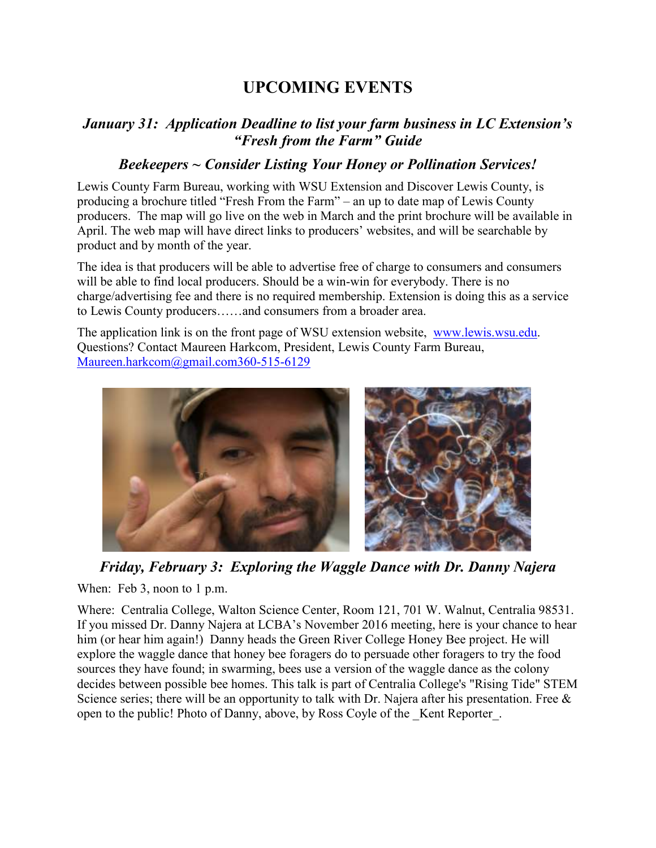# **UPCOMING EVENTS**

## *January 31: Application Deadline to list your farm business in LC Extension's "Fresh from the Farm" Guide*

## *Beekeepers ~ Consider Listing Your Honey or Pollination Services!*

Lewis County Farm Bureau, working with WSU Extension and Discover Lewis County, is producing a brochure titled "Fresh From the Farm" – an up to date map of Lewis County producers. The map will go live on the web in March and the print brochure will be available in April. The web map will have direct links to producers' websites, and will be searchable by product and by month of the year.

The idea is that producers will be able to advertise free of charge to consumers and consumers will be able to find local producers. Should be a win-win for everybody. There is no charge/advertising fee and there is no required membership. Extension is doing this as a service to Lewis County producers……and consumers from a broader area.

The application link is on the front page of WSU extension website, [www.lewis.wsu.edu.](http://www.lewis.wsu.edu/) Questions? Contact Maureen Harkcom, President, Lewis County Farm Bureau, [Maureen.harkcom@gmail.com360-515-6129](mailto:Maureen.harkcom@gmail.com360-515-6129)



*Friday, February 3: Exploring the Waggle Dance with Dr. Danny Najera*

When: Feb 3, noon to 1 p.m.

Where: Centralia College, Walton Science Center, Room 121, 701 W. Walnut, Centralia 98531. If you missed Dr. Danny Najera at LCBA's November 2016 meeting, here is your chance to hear him (or hear him again!) Danny heads the Green River College Honey Bee project. He will explore the waggle dance that honey bee foragers do to persuade other foragers to try the food sources they have found; in swarming, bees use a version of the waggle dance as the colony decides between possible bee homes. This talk is part of Centralia College's "Rising Tide" STEM Science series; there will be an opportunity to talk with Dr. Najera after his presentation. Free & open to the public! Photo of Danny, above, by Ross Coyle of the \_Kent Reporter\_.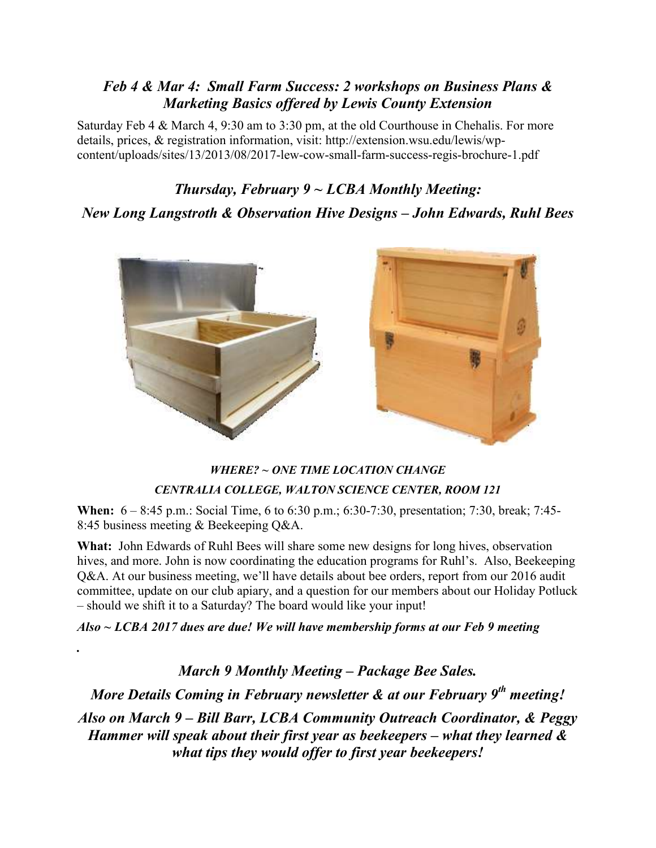## *Feb 4 & Mar 4: Small Farm Success: 2 workshops on Business Plans & Marketing Basics offered by Lewis County Extension*

Saturday Feb 4 & March 4, 9:30 am to 3:30 pm, at the old Courthouse in Chehalis. For more details, prices, & registration information, visit: http://extension.wsu.edu/lewis/wpcontent/uploads/sites/13/2013/08/2017-lew-cow-small-farm-success-regis-brochure-1.pdf

# *Thursday, February 9 ~ LCBA Monthly Meeting: New Long Langstroth & Observation Hive Designs – John Edwards, Ruhl Bees*



## *WHERE? ~ ONE TIME LOCATION CHANGE CENTRALIA COLLEGE, WALTON SCIENCE CENTER, ROOM 121*

**When:** 6 – 8:45 p.m.: Social Time, 6 to 6:30 p.m.; 6:30-7:30, presentation; 7:30, break; 7:45- 8:45 business meeting & Beekeeping Q&A.

**What:** John Edwards of Ruhl Bees will share some new designs for long hives, observation hives, and more. John is now coordinating the education programs for Ruhl's. Also, Beekeeping Q&A. At our business meeting, we'll have details about bee orders, report from our 2016 audit committee, update on our club apiary, and a question for our members about our Holiday Potluck – should we shift it to a Saturday? The board would like your input!

*Also ~ LCBA 2017 dues are due! We will have membership forms at our Feb 9 meeting*

*.*

*March 9 Monthly Meeting – Package Bee Sales.* 

*More Details Coming in February newsletter & at our February 9th meeting!*

*Also on March 9 – Bill Barr, LCBA Community Outreach Coordinator, & Peggy Hammer will speak about their first year as beekeepers – what they learned & what tips they would offer to first year beekeepers!*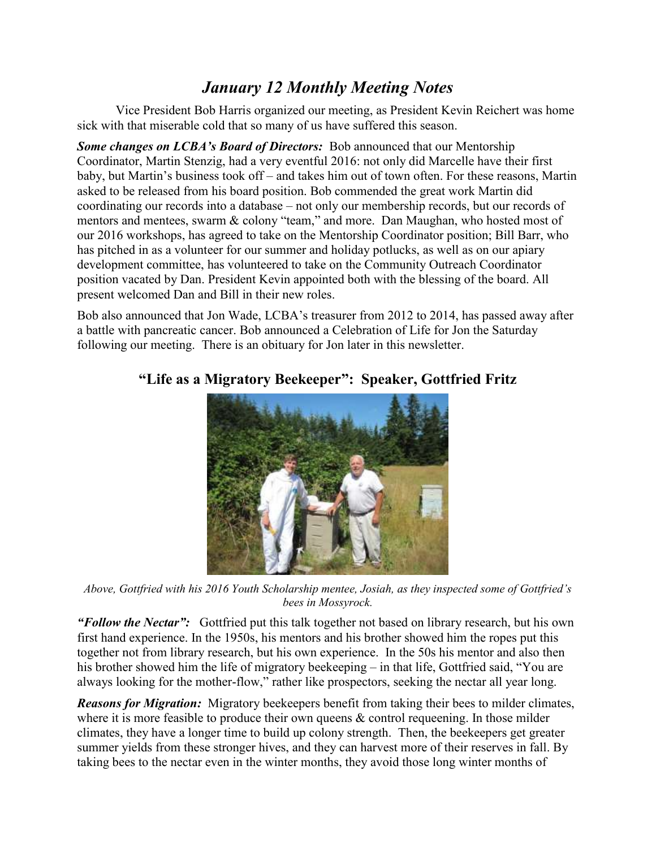## *January 12 Monthly Meeting Notes*

Vice President Bob Harris organized our meeting, as President Kevin Reichert was home sick with that miserable cold that so many of us have suffered this season.

*Some changes on LCBA's Board of Directors:* Bob announced that our Mentorship Coordinator, Martin Stenzig, had a very eventful 2016: not only did Marcelle have their first baby, but Martin's business took off – and takes him out of town often. For these reasons, Martin asked to be released from his board position. Bob commended the great work Martin did coordinating our records into a database – not only our membership records, but our records of mentors and mentees, swarm & colony "team," and more. Dan Maughan, who hosted most of our 2016 workshops, has agreed to take on the Mentorship Coordinator position; Bill Barr, who has pitched in as a volunteer for our summer and holiday potlucks, as well as on our apiary development committee, has volunteered to take on the Community Outreach Coordinator position vacated by Dan. President Kevin appointed both with the blessing of the board. All present welcomed Dan and Bill in their new roles.

Bob also announced that Jon Wade, LCBA's treasurer from 2012 to 2014, has passed away after a battle with pancreatic cancer. Bob announced a Celebration of Life for Jon the Saturday following our meeting. There is an obituary for Jon later in this newsletter.



## **"Life as a Migratory Beekeeper": Speaker, Gottfried Fritz**

*Above, Gottfried with his 2016 Youth Scholarship mentee, Josiah, as they inspected some of Gottfried's bees in Mossyrock.*

*"Follow the Nectar":* Gottfried put this talk together not based on library research, but his own first hand experience. In the 1950s, his mentors and his brother showed him the ropes put this together not from library research, but his own experience. In the 50s his mentor and also then his brother showed him the life of migratory beekeeping – in that life, Gottfried said, "You are always looking for the mother-flow," rather like prospectors, seeking the nectar all year long.

*Reasons for Migration:* Migratory beekeepers benefit from taking their bees to milder climates, where it is more feasible to produce their own queens  $\&$  control requeening. In those milder climates, they have a longer time to build up colony strength. Then, the beekeepers get greater summer yields from these stronger hives, and they can harvest more of their reserves in fall. By taking bees to the nectar even in the winter months, they avoid those long winter months of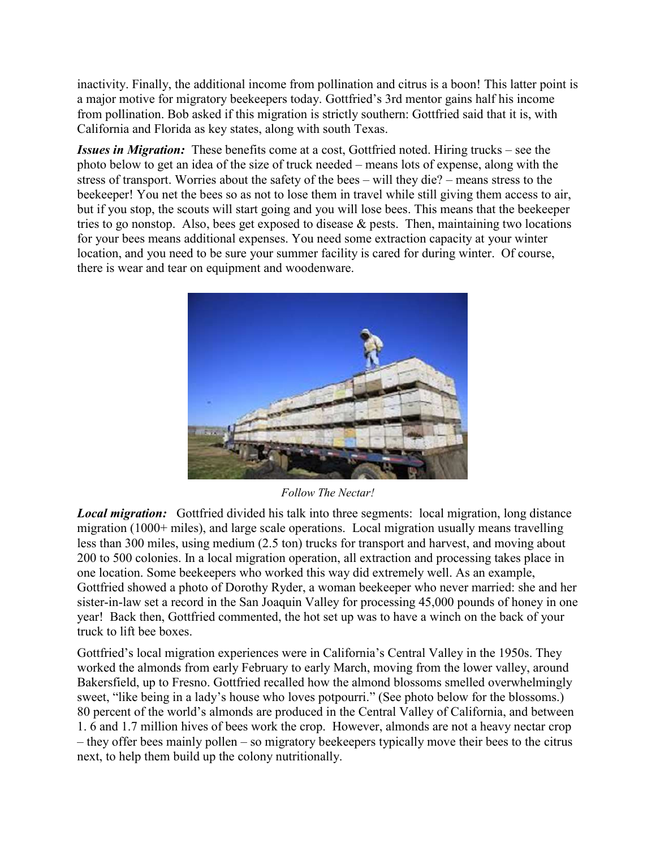inactivity. Finally, the additional income from pollination and citrus is a boon! This latter point is a major motive for migratory beekeepers today. Gottfried's 3rd mentor gains half his income from pollination. Bob asked if this migration is strictly southern: Gottfried said that it is, with California and Florida as key states, along with south Texas.

*Issues in Migration:* These benefits come at a cost, Gottfried noted. Hiring trucks – see the photo below to get an idea of the size of truck needed – means lots of expense, along with the stress of transport. Worries about the safety of the bees – will they die? – means stress to the beekeeper! You net the bees so as not to lose them in travel while still giving them access to air, but if you stop, the scouts will start going and you will lose bees. This means that the beekeeper tries to go nonstop. Also, bees get exposed to disease  $\&$  pests. Then, maintaining two locations for your bees means additional expenses. You need some extraction capacity at your winter location, and you need to be sure your summer facility is cared for during winter. Of course, there is wear and tear on equipment and woodenware.



*Follow The Nectar!*

*Local migration:* Gottfried divided his talk into three segments: local migration, long distance migration (1000+ miles), and large scale operations. Local migration usually means travelling less than 300 miles, using medium (2.5 ton) trucks for transport and harvest, and moving about 200 to 500 colonies. In a local migration operation, all extraction and processing takes place in one location. Some beekeepers who worked this way did extremely well. As an example, Gottfried showed a photo of Dorothy Ryder, a woman beekeeper who never married: she and her sister-in-law set a record in the San Joaquin Valley for processing 45,000 pounds of honey in one year! Back then, Gottfried commented, the hot set up was to have a winch on the back of your truck to lift bee boxes.

Gottfried's local migration experiences were in California's Central Valley in the 1950s. They worked the almonds from early February to early March, moving from the lower valley, around Bakersfield, up to Fresno. Gottfried recalled how the almond blossoms smelled overwhelmingly sweet, "like being in a lady's house who loves potpourri." (See photo below for the blossoms.) 80 percent of the world's almonds are produced in the Central Valley of California, and between 1. 6 and 1.7 million hives of bees work the crop. However, almonds are not a heavy nectar crop – they offer bees mainly pollen – so migratory beekeepers typically move their bees to the citrus next, to help them build up the colony nutritionally.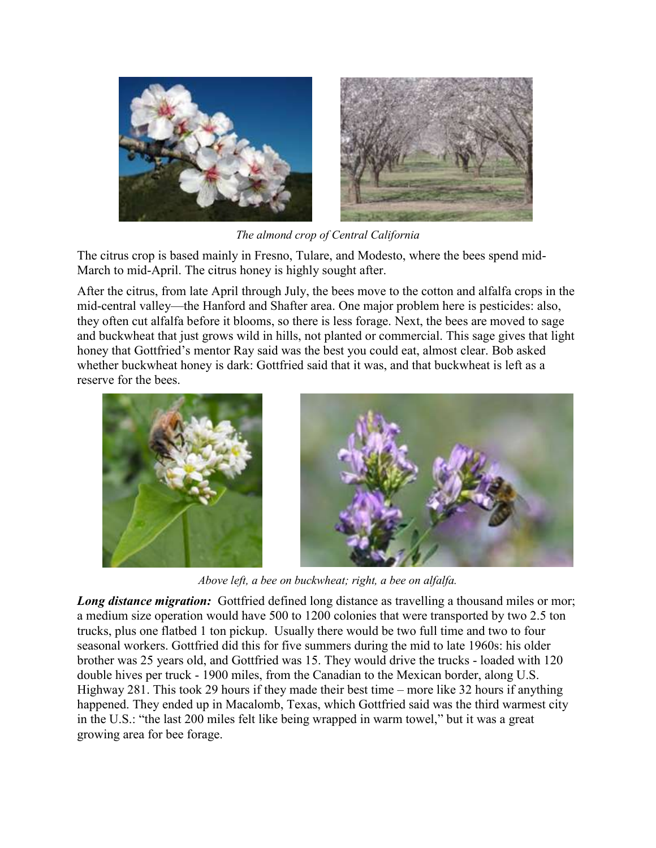

*The almond crop of Central California*

The citrus crop is based mainly in Fresno, Tulare, and Modesto, where the bees spend mid-March to mid-April. The citrus honey is highly sought after.

After the citrus, from late April through July, the bees move to the cotton and alfalfa crops in the mid-central valley—the Hanford and Shafter area. One major problem here is pesticides: also, they often cut alfalfa before it blooms, so there is less forage. Next, the bees are moved to sage and buckwheat that just grows wild in hills, not planted or commercial. This sage gives that light honey that Gottfried's mentor Ray said was the best you could eat, almost clear. Bob asked whether buckwheat honey is dark: Gottfried said that it was, and that buckwheat is left as a reserve for the bees.



*Above left, a bee on buckwheat; right, a bee on alfalfa.*

*Long distance migration:* Gottfried defined long distance as travelling a thousand miles or mor; a medium size operation would have 500 to 1200 colonies that were transported by two 2.5 ton trucks, plus one flatbed 1 ton pickup. Usually there would be two full time and two to four seasonal workers. Gottfried did this for five summers during the mid to late 1960s: his older brother was 25 years old, and Gottfried was 15. They would drive the trucks - loaded with 120 double hives per truck - 1900 miles, from the Canadian to the Mexican border, along U.S. Highway 281. This took 29 hours if they made their best time – more like 32 hours if anything happened. They ended up in Macalomb, Texas, which Gottfried said was the third warmest city in the U.S.: "the last 200 miles felt like being wrapped in warm towel," but it was a great growing area for bee forage.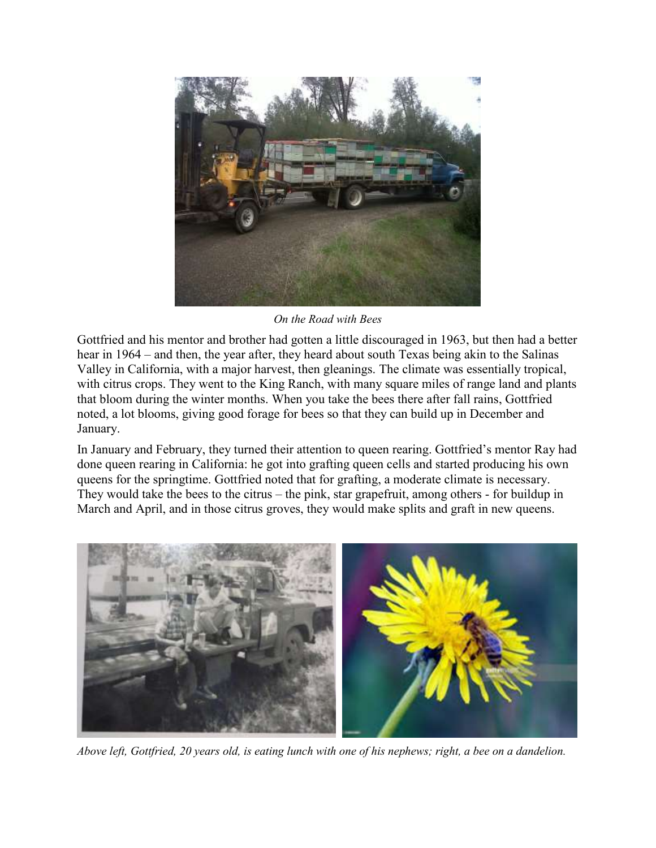

*On the Road with Bees*

Gottfried and his mentor and brother had gotten a little discouraged in 1963, but then had a better hear in 1964 – and then, the year after, they heard about south Texas being akin to the Salinas Valley in California, with a major harvest, then gleanings. The climate was essentially tropical, with citrus crops. They went to the King Ranch, with many square miles of range land and plants that bloom during the winter months. When you take the bees there after fall rains, Gottfried noted, a lot blooms, giving good forage for bees so that they can build up in December and January.

In January and February, they turned their attention to queen rearing. Gottfried's mentor Ray had done queen rearing in California: he got into grafting queen cells and started producing his own queens for the springtime. Gottfried noted that for grafting, a moderate climate is necessary. They would take the bees to the citrus – the pink, star grapefruit, among others - for buildup in March and April, and in those citrus groves, they would make splits and graft in new queens.



*Above left, Gottfried, 20 years old, is eating lunch with one of his nephews; right, a bee on a dandelion.*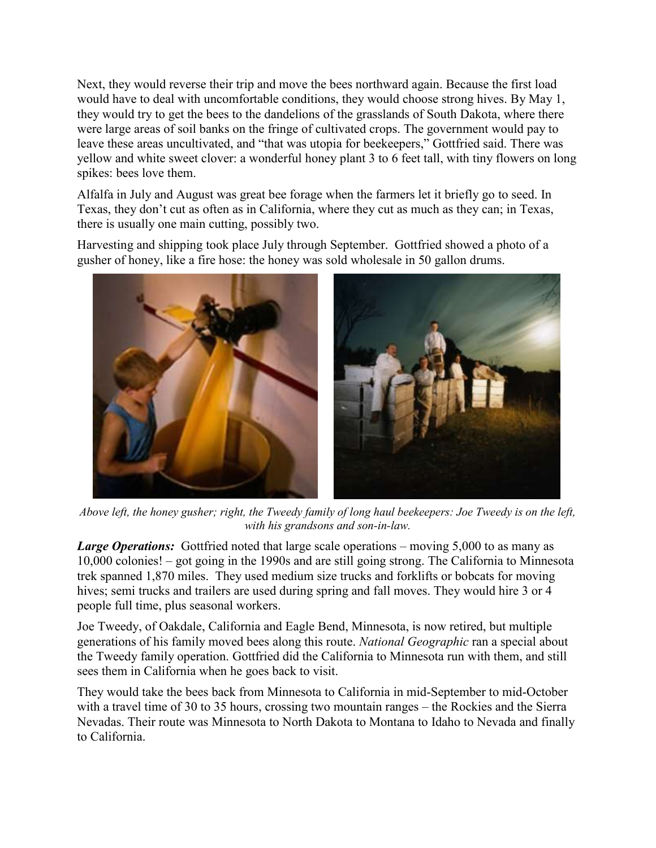Next, they would reverse their trip and move the bees northward again. Because the first load would have to deal with uncomfortable conditions, they would choose strong hives. By May 1, they would try to get the bees to the dandelions of the grasslands of South Dakota, where there were large areas of soil banks on the fringe of cultivated crops. The government would pay to leave these areas uncultivated, and "that was utopia for beekeepers," Gottfried said. There was yellow and white sweet clover: a wonderful honey plant 3 to 6 feet tall, with tiny flowers on long spikes: bees love them.

Alfalfa in July and August was great bee forage when the farmers let it briefly go to seed. In Texas, they don't cut as often as in California, where they cut as much as they can; in Texas, there is usually one main cutting, possibly two.

Harvesting and shipping took place July through September. Gottfried showed a photo of a gusher of honey, like a fire hose: the honey was sold wholesale in 50 gallon drums.



*Above left, the honey gusher; right, the Tweedy family of long haul beekeepers: Joe Tweedy is on the left, with his grandsons and son-in-law.*

*Large Operations:* Gottfried noted that large scale operations – moving 5,000 to as many as 10,000 colonies! – got going in the 1990s and are still going strong. The California to Minnesota trek spanned 1,870 miles. They used medium size trucks and forklifts or bobcats for moving hives; semi trucks and trailers are used during spring and fall moves. They would hire 3 or 4 people full time, plus seasonal workers.

Joe Tweedy, of Oakdale, California and Eagle Bend, Minnesota, is now retired, but multiple generations of his family moved bees along this route. *National Geographic* ran a special about the Tweedy family operation. Gottfried did the California to Minnesota run with them, and still sees them in California when he goes back to visit.

They would take the bees back from Minnesota to California in mid-September to mid-October with a travel time of 30 to 35 hours, crossing two mountain ranges – the Rockies and the Sierra Nevadas. Their route was Minnesota to North Dakota to Montana to Idaho to Nevada and finally to California.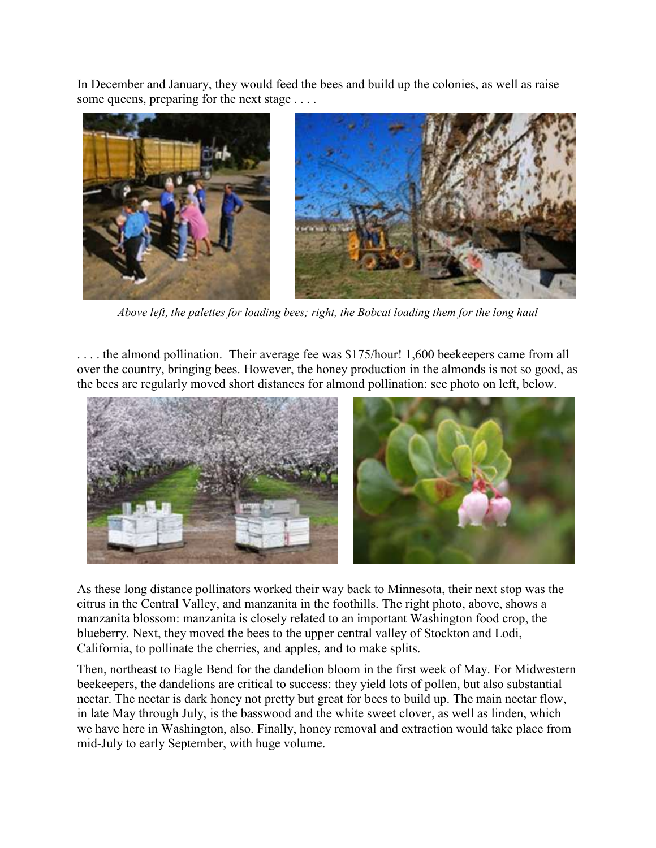In December and January, they would feed the bees and build up the colonies, as well as raise some queens, preparing for the next stage . . . .



*Above left, the palettes for loading bees; right, the Bobcat loading them for the long haul*

. . . . the almond pollination. Their average fee was \$175/hour! 1,600 beekeepers came from all over the country, bringing bees. However, the honey production in the almonds is not so good, as the bees are regularly moved short distances for almond pollination: see photo on left, below.



As these long distance pollinators worked their way back to Minnesota, their next stop was the citrus in the Central Valley, and manzanita in the foothills. The right photo, above, shows a manzanita blossom: manzanita is closely related to an important Washington food crop, the blueberry. Next, they moved the bees to the upper central valley of Stockton and Lodi, California, to pollinate the cherries, and apples, and to make splits.

Then, northeast to Eagle Bend for the dandelion bloom in the first week of May. For Midwestern beekeepers, the dandelions are critical to success: they yield lots of pollen, but also substantial nectar. The nectar is dark honey not pretty but great for bees to build up. The main nectar flow, in late May through July, is the basswood and the white sweet clover, as well as linden, which we have here in Washington, also. Finally, honey removal and extraction would take place from mid-July to early September, with huge volume.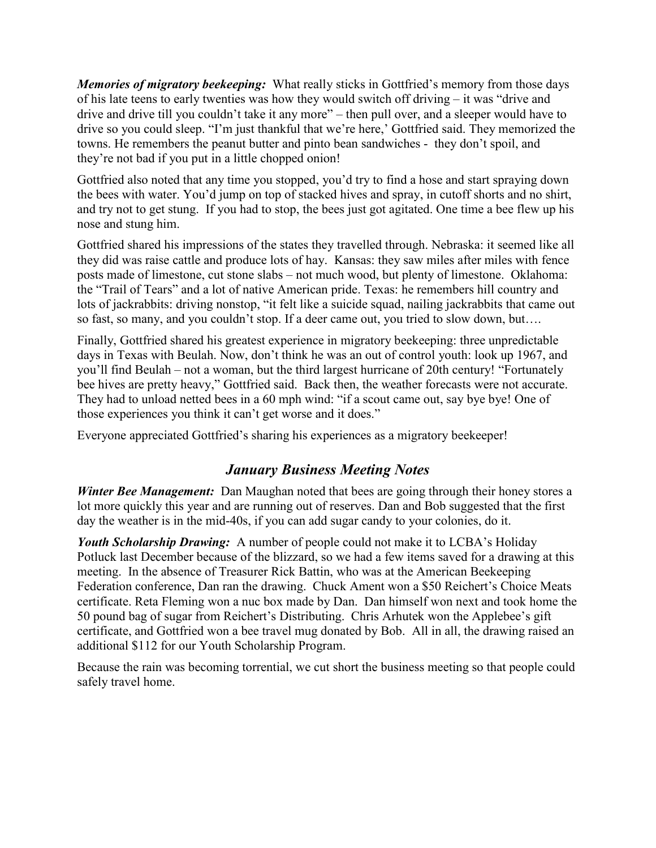*Memories of migratory beekeeping:* What really sticks in Gottfried's memory from those days of his late teens to early twenties was how they would switch off driving – it was "drive and drive and drive till you couldn't take it any more" – then pull over, and a sleeper would have to drive so you could sleep. "I'm just thankful that we're here,' Gottfried said. They memorized the towns. He remembers the peanut butter and pinto bean sandwiches - they don't spoil, and they're not bad if you put in a little chopped onion!

Gottfried also noted that any time you stopped, you'd try to find a hose and start spraying down the bees with water. You'd jump on top of stacked hives and spray, in cutoff shorts and no shirt, and try not to get stung. If you had to stop, the bees just got agitated. One time a bee flew up his nose and stung him.

Gottfried shared his impressions of the states they travelled through. Nebraska: it seemed like all they did was raise cattle and produce lots of hay. Kansas: they saw miles after miles with fence posts made of limestone, cut stone slabs – not much wood, but plenty of limestone. Oklahoma: the "Trail of Tears" and a lot of native American pride. Texas: he remembers hill country and lots of jackrabbits: driving nonstop, "it felt like a suicide squad, nailing jackrabbits that came out so fast, so many, and you couldn't stop. If a deer came out, you tried to slow down, but….

Finally, Gottfried shared his greatest experience in migratory beekeeping: three unpredictable days in Texas with Beulah. Now, don't think he was an out of control youth: look up 1967, and you'll find Beulah – not a woman, but the third largest hurricane of 20th century! "Fortunately bee hives are pretty heavy," Gottfried said. Back then, the weather forecasts were not accurate. They had to unload netted bees in a 60 mph wind: "if a scout came out, say bye bye! One of those experiences you think it can't get worse and it does."

Everyone appreciated Gottfried's sharing his experiences as a migratory beekeeper!

## *January Business Meeting Notes*

*Winter Bee Management:* Dan Maughan noted that bees are going through their honey stores a lot more quickly this year and are running out of reserves. Dan and Bob suggested that the first day the weather is in the mid-40s, if you can add sugar candy to your colonies, do it.

*Youth Scholarship Drawing:* A number of people could not make it to LCBA's Holiday Potluck last December because of the blizzard, so we had a few items saved for a drawing at this meeting. In the absence of Treasurer Rick Battin, who was at the American Beekeeping Federation conference, Dan ran the drawing. Chuck Ament won a \$50 Reichert's Choice Meats certificate. Reta Fleming won a nuc box made by Dan. Dan himself won next and took home the 50 pound bag of sugar from Reichert's Distributing. Chris Arhutek won the Applebee's gift certificate, and Gottfried won a bee travel mug donated by Bob. All in all, the drawing raised an additional \$112 for our Youth Scholarship Program.

Because the rain was becoming torrential, we cut short the business meeting so that people could safely travel home.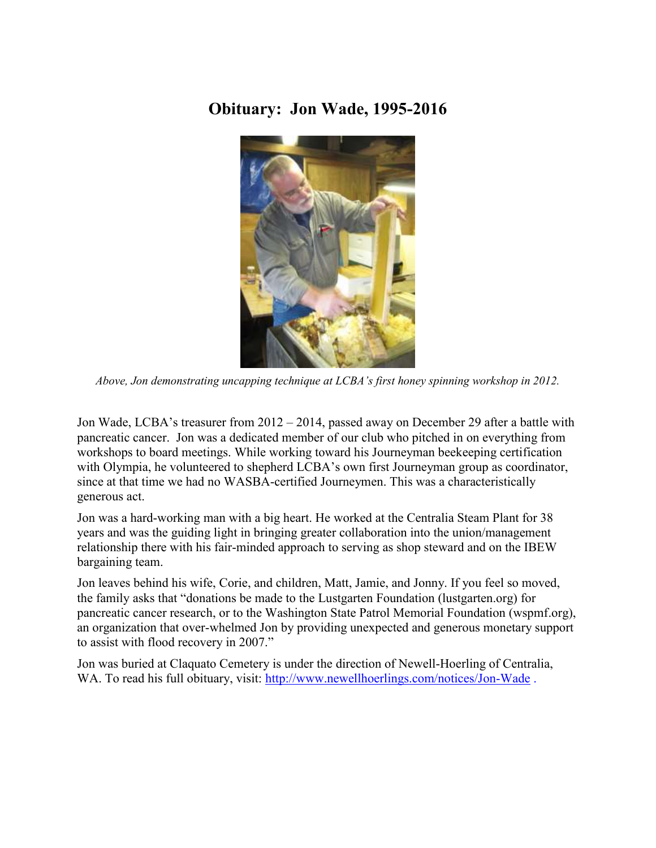## **Obituary: Jon Wade, 1995-2016**



*Above, Jon demonstrating uncapping technique at LCBA's first honey spinning workshop in 2012.*

Jon Wade, LCBA's treasurer from 2012 – 2014, passed away on December 29 after a battle with pancreatic cancer. Jon was a dedicated member of our club who pitched in on everything from workshops to board meetings. While working toward his Journeyman beekeeping certification with Olympia, he volunteered to shepherd LCBA's own first Journeyman group as coordinator, since at that time we had no WASBA-certified Journeymen. This was a characteristically generous act.

Jon was a hard-working man with a big heart. He worked at the Centralia Steam Plant for 38 years and was the guiding light in bringing greater collaboration into the union/management relationship there with his fair-minded approach to serving as shop steward and on the IBEW bargaining team.

Jon leaves behind his wife, Corie, and children, Matt, Jamie, and Jonny. If you feel so moved, the family asks that "donations be made to the Lustgarten Foundation (lustgarten.org) for pancreatic cancer research, or to the Washington State Patrol Memorial Foundation (wspmf.org), an organization that over-whelmed Jon by providing unexpected and generous monetary support to assist with flood recovery in 2007."

Jon was buried at Claquato Cemetery is under the direction of Newell-Hoerling of Centralia, WA. To read his full obituary, visit:<http://www.newellhoerlings.com/notices/Jon-Wade>.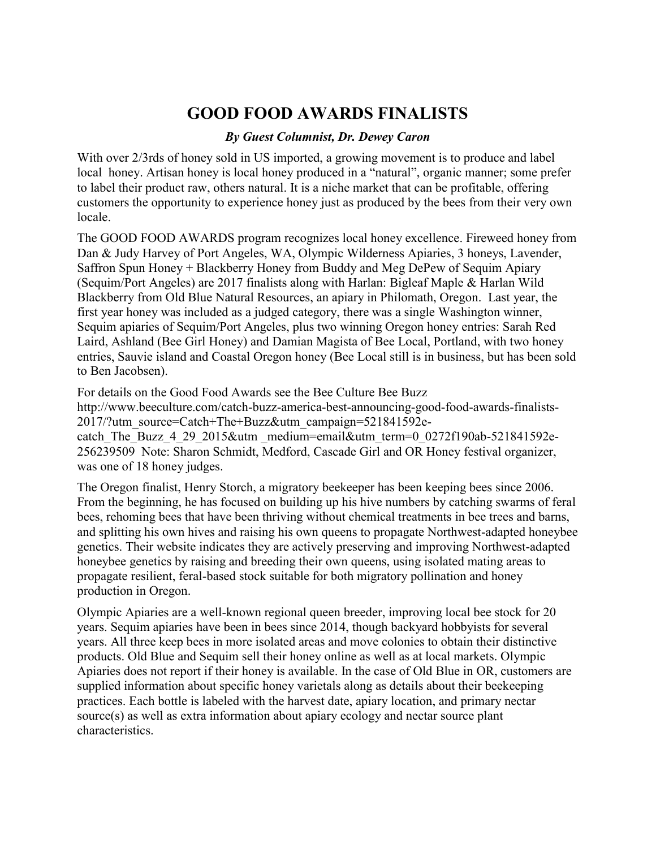# **GOOD FOOD AWARDS FINALISTS**

### *By Guest Columnist, Dr. Dewey Caron*

With over 2/3rds of honey sold in US imported, a growing movement is to produce and label local honey. Artisan honey is local honey produced in a "natural", organic manner; some prefer to label their product raw, others natural. It is a niche market that can be profitable, offering customers the opportunity to experience honey just as produced by the bees from their very own locale.

The GOOD FOOD AWARDS program recognizes local honey excellence. Fireweed honey from Dan & Judy Harvey of Port Angeles, WA, Olympic Wilderness Apiaries, 3 honeys, Lavender, Saffron Spun Honey + Blackberry Honey from Buddy and Meg DePew of Sequim Apiary (Sequim/Port Angeles) are 2017 finalists along with Harlan: Bigleaf Maple & Harlan Wild Blackberry from Old Blue Natural Resources, an apiary in Philomath, Oregon. Last year, the first year honey was included as a judged category, there was a single Washington winner, Sequim apiaries of Sequim/Port Angeles, plus two winning Oregon honey entries: Sarah Red Laird, Ashland (Bee Girl Honey) and Damian Magista of Bee Local, Portland, with two honey entries, Sauvie island and Coastal Oregon honey (Bee Local still is in business, but has been sold to Ben Jacobsen).

For details on the Good Food Awards see the Bee Culture Bee Buzz http://www.beeculture.com/catch-buzz-america-best-announcing-good-food-awards-finalists-2017/?utm\_source=Catch+The+Buzz&utm\_campaign=521841592ecatch The Buzz 4 29 2015&utm medium=email&utm term=0\_0272f190ab-521841592e-256239509 Note: Sharon Schmidt, Medford, Cascade Girl and OR Honey festival organizer, was one of 18 honey judges.

The Oregon finalist, Henry Storch, a migratory beekeeper has been keeping bees since 2006. From the beginning, he has focused on building up his hive numbers by catching swarms of feral bees, rehoming bees that have been thriving without chemical treatments in bee trees and barns, and splitting his own hives and raising his own queens to propagate Northwest-adapted honeybee genetics. Their website indicates they are actively preserving and improving Northwest-adapted honeybee genetics by raising and breeding their own queens, using isolated mating areas to propagate resilient, feral-based stock suitable for both migratory pollination and honey production in Oregon.

Olympic Apiaries are a well-known regional queen breeder, improving local bee stock for 20 years. Sequim apiaries have been in bees since 2014, though backyard hobbyists for several years. All three keep bees in more isolated areas and move colonies to obtain their distinctive products. Old Blue and Sequim sell their honey online as well as at local markets. Olympic Apiaries does not report if their honey is available. In the case of Old Blue in OR, customers are supplied information about specific honey varietals along as details about their beekeeping practices. Each bottle is labeled with the harvest date, apiary location, and primary nectar source(s) as well as extra information about apiary ecology and nectar source plant characteristics.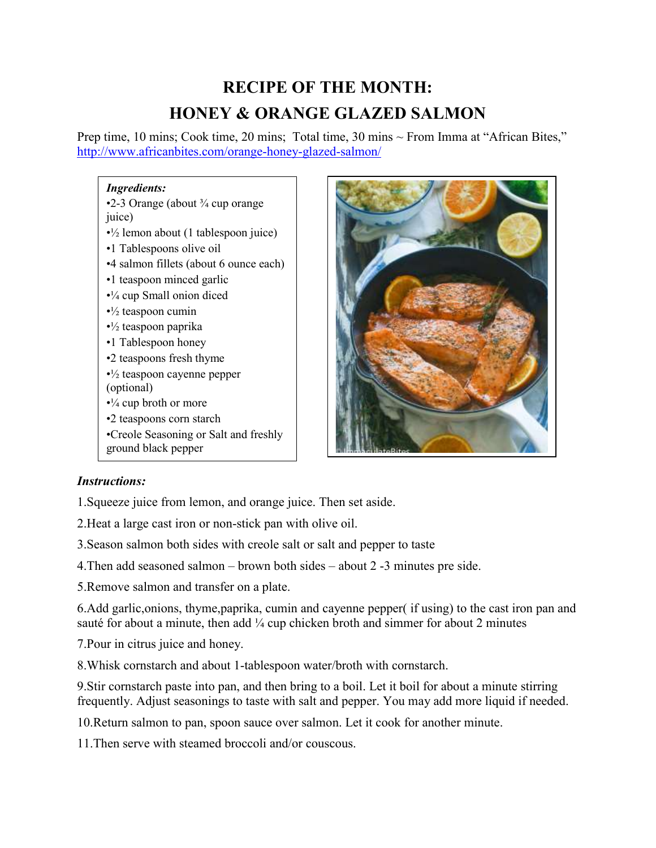# **RECIPE OF THE MONTH: HONEY & ORANGE GLAZED SALMON**

Prep time, 10 mins; Cook time, 20 mins; Total time, 30 mins ~ From Imma at "African Bites," <http://www.africanbites.com/orange-honey-glazed-salmon/>

### *Ingredients:*

•2-3 Orange (about  $\frac{3}{4}$  cup orange juice)  $\cdot$ <sup>1</sup>/<sub>2</sub> lemon about (1 tablespoon juice) •1 Tablespoons olive oil •4 salmon fillets (about 6 ounce each) •1 teaspoon minced garlic •¼ cup Small onion diced  $\cdot$ <sup>1</sup>/<sub>2</sub> teaspoon cumin  $\cdot$ <sup>1</sup>/<sub>2</sub> teaspoon paprika •1 Tablespoon honey •2 teaspoons fresh thyme  $\cdot$ <sup>1</sup>/<sub>2</sub> teaspoon cayenne pepper (optional)  $\cdot\frac{1}{4}$  cup broth or more •2 teaspoons corn starch •Creole Seasoning or Salt and freshly ground black pepper



### *Instructions:*

1.Squeeze juice from lemon, and orange juice. Then set aside.

2.Heat a large cast iron or non-stick pan with olive oil.

3.Season salmon both sides with creole salt or salt and pepper to taste

4.Then add seasoned salmon – brown both sides – about 2 -3 minutes pre side.

5.Remove salmon and transfer on a plate.

6.Add garlic,onions, thyme,paprika, cumin and cayenne pepper( if using) to the cast iron pan and sauté for about a minute, then add  $\frac{1}{4}$  cup chicken broth and simmer for about 2 minutes

7.Pour in citrus juice and honey.

8.Whisk cornstarch and about 1-tablespoon water/broth with cornstarch.

9.Stir cornstarch paste into pan, and then bring to a boil. Let it boil for about a minute stirring frequently. Adjust seasonings to taste with salt and pepper. You may add more liquid if needed.

10.Return salmon to pan, spoon sauce over salmon. Let it cook for another minute.

11.Then serve with steamed broccoli and/or couscous.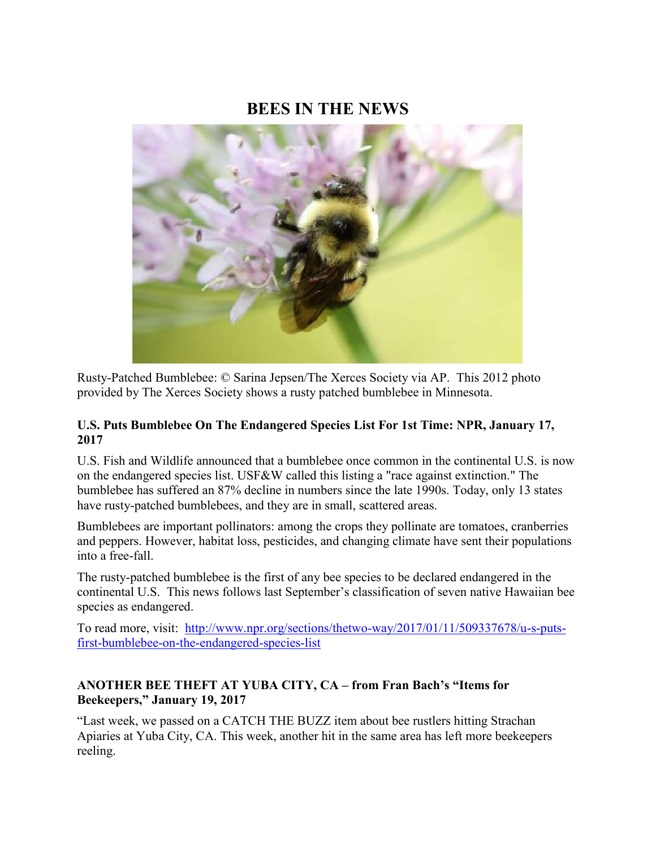### **BEES IN THE NEWS**



Rusty-Patched Bumblebee: © Sarina Jepsen/The Xerces Society via AP. This 2012 photo provided by The Xerces Society shows a rusty patched bumblebee in Minnesota.

### **U.S. Puts Bumblebee On The Endangered Species List For 1st Time: NPR, January 17, 2017**

U.S. Fish and Wildlife announced that a bumblebee once common in the continental U.S. is now on the endangered species list. USF&W called this listing a "race against extinction." The bumblebee has suffered an 87% decline in numbers since the late 1990s. Today, only 13 states have rusty-patched bumblebees, and they are in small, scattered areas.

Bumblebees are important pollinators: among the crops they pollinate are tomatoes, cranberries and peppers. However, habitat loss, pesticides, and changing climate have sent their populations into a free-fall.

The rusty-patched bumblebee is the first of any bee species to be declared endangered in the continental U.S. This news follows last September's classification of seven native Hawaiian bee species as endangered.

To read more, visit: [http://www.npr.org/sections/thetwo-way/2017/01/11/509337678/u-s-puts](http://www.npr.org/sections/thetwo-way/2017/01/11/509337678/u-s-puts-first-bumblebee-on-the-endangered-species-list)[first-bumblebee-on-the-endangered-species-list](http://www.npr.org/sections/thetwo-way/2017/01/11/509337678/u-s-puts-first-bumblebee-on-the-endangered-species-list)

### **ANOTHER BEE THEFT AT YUBA CITY, CA – from Fran Bach's "Items for Beekeepers," January 19, 2017**

"Last week, we passed on a CATCH THE BUZZ item about bee rustlers hitting Strachan Apiaries at Yuba City, CA. This week, another hit in the same area has left more beekeepers reeling.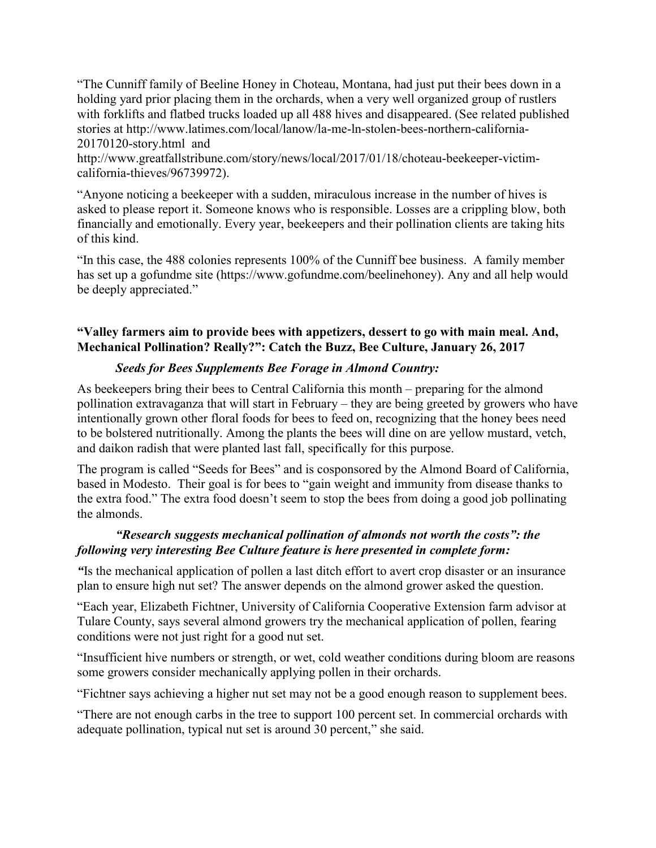"The Cunniff family of Beeline Honey in Choteau, Montana, had just put their bees down in a holding yard prior placing them in the orchards, when a very well organized group of rustlers with forklifts and flatbed trucks loaded up all 488 hives and disappeared. (See related published stories at http://www.latimes.com/local/lanow/la-me-ln-stolen-bees-northern-california-20170120-story.html and

http://www.greatfallstribune.com/story/news/local/2017/01/18/choteau-beekeeper-victimcalifornia-thieves/96739972).

"Anyone noticing a beekeeper with a sudden, miraculous increase in the number of hives is asked to please report it. Someone knows who is responsible. Losses are a crippling blow, both financially and emotionally. Every year, beekeepers and their pollination clients are taking hits of this kind.

"In this case, the 488 colonies represents 100% of the Cunniff bee business. A family member has set up a gofundme site (https://www.gofundme.com/beelinehoney). Any and all help would be deeply appreciated."

### **"Valley farmers aim to provide bees with appetizers, dessert to go with main meal. And, Mechanical Pollination? Really?": Catch the Buzz, Bee Culture, January 26, 2017**

### *Seeds for Bees Supplements Bee Forage in Almond Country:*

As beekeepers bring their bees to Central California this month – preparing for the almond pollination extravaganza that will start in February – they are being greeted by growers who have intentionally grown other floral foods for bees to feed on, recognizing that the honey bees need to be bolstered nutritionally. Among the plants the bees will dine on are yellow mustard, vetch, and daikon radish that were planted last fall, specifically for this purpose.

The program is called "Seeds for Bees" and is cosponsored by the Almond Board of California, based in Modesto. Their goal is for bees to "gain weight and immunity from disease thanks to the extra food." The extra food doesn't seem to stop the bees from doing a good job pollinating the almonds.

### *"Research suggests mechanical pollination of almonds not worth the costs": the following very interesting Bee Culture feature is here presented in complete form:*

*"*Is the mechanical application of pollen a last ditch effort to avert crop disaster or an insurance plan to ensure high nut set? The answer depends on the almond grower asked the question.

"Each year, Elizabeth Fichtner, University of California Cooperative Extension farm advisor at Tulare County, says several almond growers try the mechanical application of pollen, fearing conditions were not just right for a good nut set.

"Insufficient hive numbers or strength, or wet, cold weather conditions during bloom are reasons some growers consider mechanically applying pollen in their orchards.

"Fichtner says achieving a higher nut set may not be a good enough reason to supplement bees.

"There are not enough carbs in the tree to support 100 percent set. In commercial orchards with adequate pollination, typical nut set is around 30 percent," she said.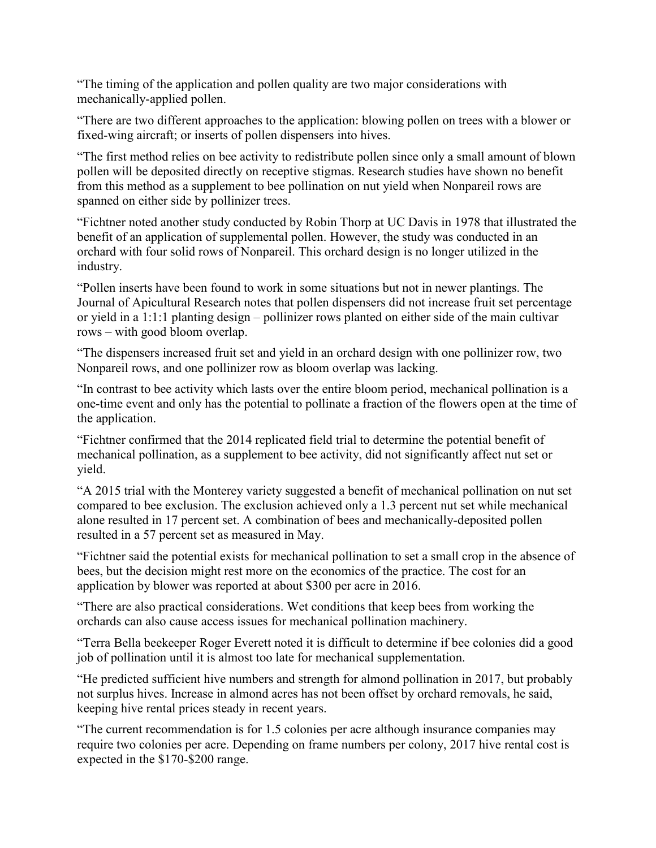"The timing of the application and pollen quality are two major considerations with mechanically-applied pollen.

"There are two different approaches to the application: blowing pollen on trees with a blower or fixed-wing aircraft; or inserts of pollen dispensers into hives.

"The first method relies on bee activity to redistribute pollen since only a small amount of blown pollen will be deposited directly on receptive stigmas. Research studies have shown no benefit from this method as a supplement to bee pollination on nut yield when Nonpareil rows are spanned on either side by pollinizer trees.

"Fichtner noted another study conducted by Robin Thorp at UC Davis in 1978 that illustrated the benefit of an application of supplemental pollen. However, the study was conducted in an orchard with four solid rows of Nonpareil. This orchard design is no longer utilized in the industry.

"Pollen inserts have been found to work in some situations but not in newer plantings. The Journal of Apicultural Research notes that pollen dispensers did not increase fruit set percentage or yield in a 1:1:1 planting design – pollinizer rows planted on either side of the main cultivar rows – with good bloom overlap.

"The dispensers increased fruit set and yield in an orchard design with one pollinizer row, two Nonpareil rows, and one pollinizer row as bloom overlap was lacking.

"In contrast to bee activity which lasts over the entire bloom period, mechanical pollination is a one-time event and only has the potential to pollinate a fraction of the flowers open at the time of the application.

"Fichtner confirmed that the 2014 replicated field trial to determine the potential benefit of mechanical pollination, as a supplement to bee activity, did not significantly affect nut set or yield.

"A 2015 trial with the Monterey variety suggested a benefit of mechanical pollination on nut set compared to bee exclusion. The exclusion achieved only a 1.3 percent nut set while mechanical alone resulted in 17 percent set. A combination of bees and mechanically-deposited pollen resulted in a 57 percent set as measured in May.

"Fichtner said the potential exists for mechanical pollination to set a small crop in the absence of bees, but the decision might rest more on the economics of the practice. The cost for an application by blower was reported at about \$300 per acre in 2016.

"There are also practical considerations. Wet conditions that keep bees from working the orchards can also cause access issues for mechanical pollination machinery.

"Terra Bella beekeeper Roger Everett noted it is difficult to determine if bee colonies did a good job of pollination until it is almost too late for mechanical supplementation.

"He predicted sufficient hive numbers and strength for almond pollination in 2017, but probably not surplus hives. Increase in almond acres has not been offset by orchard removals, he said, keeping hive rental prices steady in recent years.

"The current recommendation is for 1.5 colonies per acre although insurance companies may require two colonies per acre. Depending on frame numbers per colony, 2017 hive rental cost is expected in the \$170-\$200 range.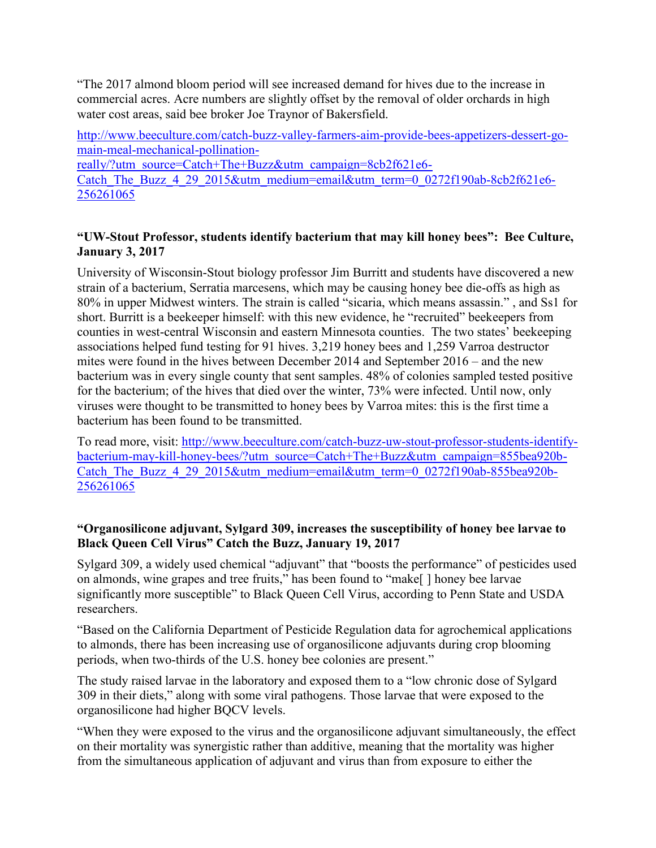"The 2017 almond bloom period will see increased demand for hives due to the increase in commercial acres. Acre numbers are slightly offset by the removal of older orchards in high water cost areas, said bee broker Joe Traynor of Bakersfield.

[http://www.beeculture.com/catch-buzz-valley-farmers-aim-provide-bees-appetizers-dessert-go](http://www.beeculture.com/catch-buzz-valley-farmers-aim-provide-bees-appetizers-dessert-go-main-meal-mechanical-pollination-really/?utm_source=Catch+The+Buzz&utm_campaign=8cb2f621e6-Catch_The_Buzz_4_29_2015&utm_medium=email&utm_term=0_0272f190ab-8cb2f621e6-256261065)[main-meal-mechanical-pollination-](http://www.beeculture.com/catch-buzz-valley-farmers-aim-provide-bees-appetizers-dessert-go-main-meal-mechanical-pollination-really/?utm_source=Catch+The+Buzz&utm_campaign=8cb2f621e6-Catch_The_Buzz_4_29_2015&utm_medium=email&utm_term=0_0272f190ab-8cb2f621e6-256261065)

[really/?utm\\_source=Catch+The+Buzz&utm\\_campaign=8cb2f621e6-](http://www.beeculture.com/catch-buzz-valley-farmers-aim-provide-bees-appetizers-dessert-go-main-meal-mechanical-pollination-really/?utm_source=Catch+The+Buzz&utm_campaign=8cb2f621e6-Catch_The_Buzz_4_29_2015&utm_medium=email&utm_term=0_0272f190ab-8cb2f621e6-256261065) Catch The Buzz 4 29 2015&utm\_medium=email&utm\_term=0\_0272f190ab-8cb2f621e6-[256261065](http://www.beeculture.com/catch-buzz-valley-farmers-aim-provide-bees-appetizers-dessert-go-main-meal-mechanical-pollination-really/?utm_source=Catch+The+Buzz&utm_campaign=8cb2f621e6-Catch_The_Buzz_4_29_2015&utm_medium=email&utm_term=0_0272f190ab-8cb2f621e6-256261065)

### **"UW-Stout Professor, students identify bacterium that may kill honey bees": Bee Culture, January 3, 2017**

University of Wisconsin-Stout biology professor Jim Burritt and students have discovered a new strain of a bacterium, Serratia marcesens, which may be causing honey bee die-offs as high as 80% in upper Midwest winters. The strain is called "sicaria, which means assassin." , and Ss1 for short. Burritt is a beekeeper himself: with this new evidence, he "recruited" beekeepers from counties in west-central Wisconsin and eastern Minnesota counties. The two states' beekeeping associations helped fund testing for 91 hives. 3,219 honey bees and 1,259 Varroa destructor mites were found in the hives between December 2014 and September 2016 – and the new bacterium was in every single county that sent samples. 48% of colonies sampled tested positive for the bacterium; of the hives that died over the winter, 73% were infected. Until now, only viruses were thought to be transmitted to honey bees by Varroa mites: this is the first time a bacterium has been found to be transmitted.

To read more, visit: [http://www.beeculture.com/catch-buzz-uw-stout-professor-students-identify](http://www.beeculture.com/catch-buzz-uw-stout-professor-students-identify-bacterium-may-kill-honey-bees/?utm_source=Catch+The+Buzz&utm_campaign=855bea920b-Catch_The_Buzz_4_29_2015&utm_medium=email&utm_term=0_0272f190ab-855bea920b-256261065)[bacterium-may-kill-honey-bees/?utm\\_source=Catch+The+Buzz&utm\\_campaign=855bea920b-](http://www.beeculture.com/catch-buzz-uw-stout-professor-students-identify-bacterium-may-kill-honey-bees/?utm_source=Catch+The+Buzz&utm_campaign=855bea920b-Catch_The_Buzz_4_29_2015&utm_medium=email&utm_term=0_0272f190ab-855bea920b-256261065)[Catch\\_The\\_Buzz\\_4\\_29\\_2015&utm\\_medium=email&utm\\_term=0\\_0272f190ab-855bea920b-](http://www.beeculture.com/catch-buzz-uw-stout-professor-students-identify-bacterium-may-kill-honey-bees/?utm_source=Catch+The+Buzz&utm_campaign=855bea920b-Catch_The_Buzz_4_29_2015&utm_medium=email&utm_term=0_0272f190ab-855bea920b-256261065)[256261065](http://www.beeculture.com/catch-buzz-uw-stout-professor-students-identify-bacterium-may-kill-honey-bees/?utm_source=Catch+The+Buzz&utm_campaign=855bea920b-Catch_The_Buzz_4_29_2015&utm_medium=email&utm_term=0_0272f190ab-855bea920b-256261065)

### **"Organosilicone adjuvant, Sylgard 309, increases the susceptibility of honey bee larvae to Black Queen Cell Virus" Catch the Buzz, January 19, 2017**

Sylgard 309, a widely used chemical "adjuvant" that "boosts the performance" of pesticides used on almonds, wine grapes and tree fruits," has been found to "make[ ] honey bee larvae significantly more susceptible" to Black Queen Cell Virus, according to Penn State and USDA researchers.

"Based on the California Department of Pesticide Regulation data for agrochemical applications to almonds, there has been increasing use of organosilicone adjuvants during crop blooming periods, when two-thirds of the U.S. honey bee colonies are present."

The study raised larvae in the laboratory and exposed them to a "low chronic dose of Sylgard 309 in their diets," along with some viral pathogens. Those larvae that were exposed to the organosilicone had higher BQCV levels.

"When they were exposed to the virus and the organosilicone adjuvant simultaneously, the effect on their mortality was synergistic rather than additive, meaning that the mortality was higher from the simultaneous application of adjuvant and virus than from exposure to either the